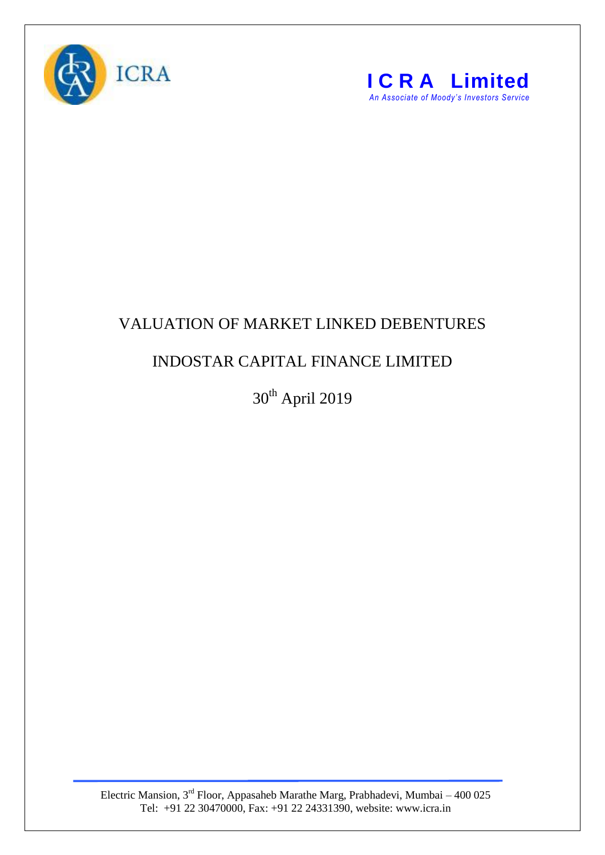



## VALUATION OF MARKET LINKED DEBENTURES

## INDOSTAR CAPITAL FINANCE LIMITED

30<sup>th</sup> April 2019

Electric Mansion,  $3<sup>rd</sup>$  Floor, Appasaheb Marathe Marg, Prabhadevi, Mumbai – 400 025 Tel: +91 22 30470000, Fax: +91 22 24331390, website: www.icra.in